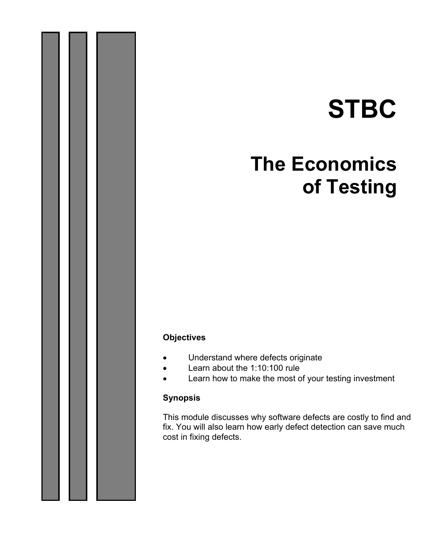# **STBC**

# **The Economics of Testing**

#### **Objectives**

- Understand where defects originate
- Learn about the 1:10:100 rule
- Learn how to make the most of your testing investment

#### **Synopsis**

This module discusses why software defects are costly to find and fix. You will also learn how early defect detection can save much cost in fixing defects.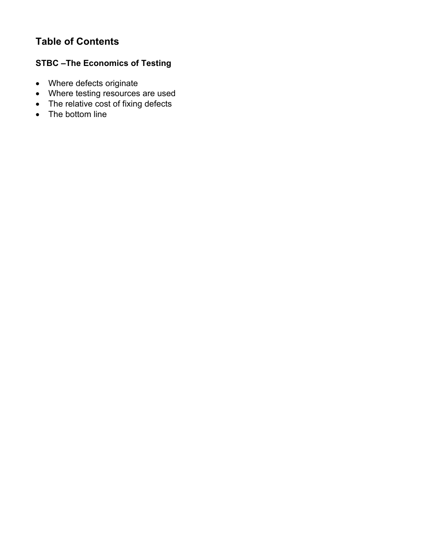# **Table of Contents**

# **STBC –The Economics of Testing**

- Where defects originate
- Where testing resources are used
- The relative cost of fixing defects
- The bottom line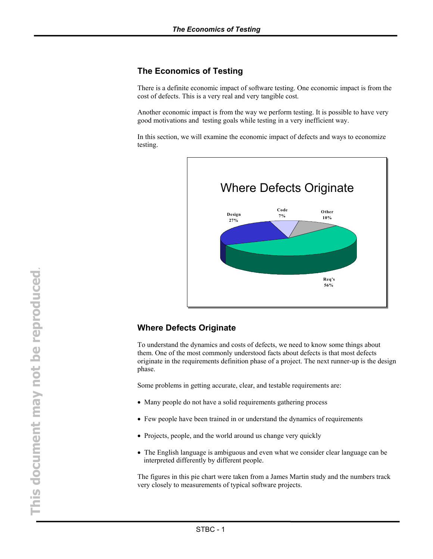#### **The Economics of Testing**

There is a definite economic impact of software testing. One economic impact is from the cost of defects. This is a very real and very tangible cost.

Another economic impact is from the way we perform testing. It is possible to have very good motivations and testing goals while testing in a very inefficient way.

In this section, we will examine the economic impact of defects and ways to economize testing.



#### **Where Defects Originate**

To understand the dynamics and costs of defects, we need to know some things about them. One of the most commonly understood facts about defects is that most defects originate in the requirements definition phase of a project. The next runner-up is the design phase.

Some problems in getting accurate, clear, and testable requirements are:

- Many people do not have a solid requirements gathering process
- Few people have been trained in or understand the dynamics of requirements
- Projects, people, and the world around us change very quickly
- The English language is ambiguous and even what we consider clear language can be interpreted differently by different people.

The figures in this pie chart were taken from a James Martin study and the numbers track very closely to measurements of typical software projects.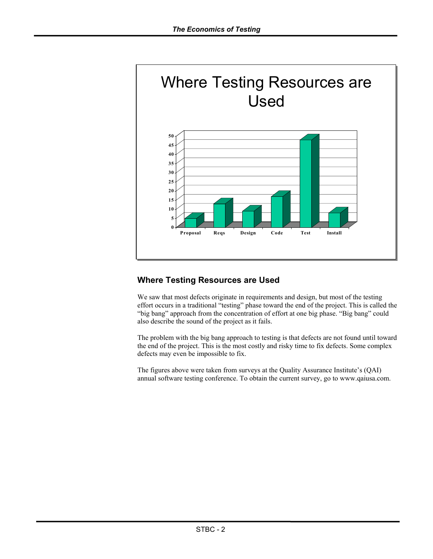

### **Where Testing Resources are Used**

We saw that most defects originate in requirements and design, but most of the testing effort occurs in a traditional "testing" phase toward the end of the project. This is called the "big bang" approach from the concentration of effort at one big phase. "Big bang" could also describe the sound of the project as it fails.

The problem with the big bang approach to testing is that defects are not found until toward the end of the project. This is the most costly and risky time to fix defects. Some complex defects may even be impossible to fix.

The figures above were taken from surveys at the Quality Assurance Institute's (QAI) annual software testing conference. To obtain the current survey, go to www.qaiusa.com.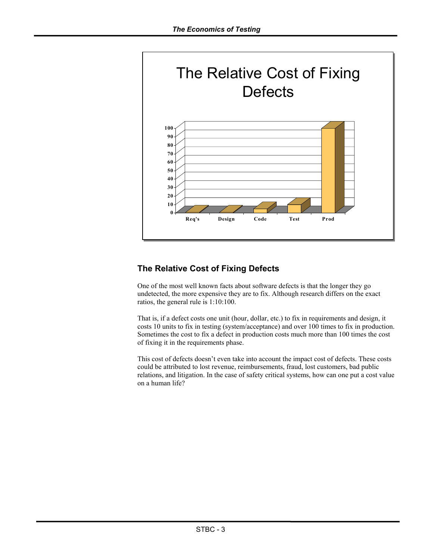

## **The Relative Cost of Fixing Defects**

One of the most well known facts about software defects is that the longer they go undetected, the more expensive they are to fix. Although research differs on the exact ratios, the general rule is 1:10:100.

That is, if a defect costs one unit (hour, dollar, etc.) to fix in requirements and design, it costs 10 units to fix in testing (system/acceptance) and over 100 times to fix in production. Sometimes the cost to fix a defect in production costs much more than 100 times the cost of fixing it in the requirements phase.

This cost of defects doesn't even take into account the impact cost of defects. These costs could be attributed to lost revenue, reimbursements, fraud, lost customers, bad public relations, and litigation. In the case of safety critical systems, how can one put a cost value on a human life?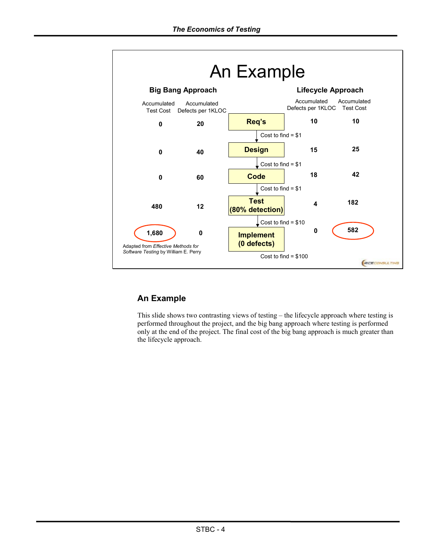

# **An Example**

This slide shows two contrasting views of testing – the lifecycle approach where testing is performed throughout the project, and the big bang approach where testing is performed only at the end of the project. The final cost of the big bang approach is much greater than the lifecycle approach.